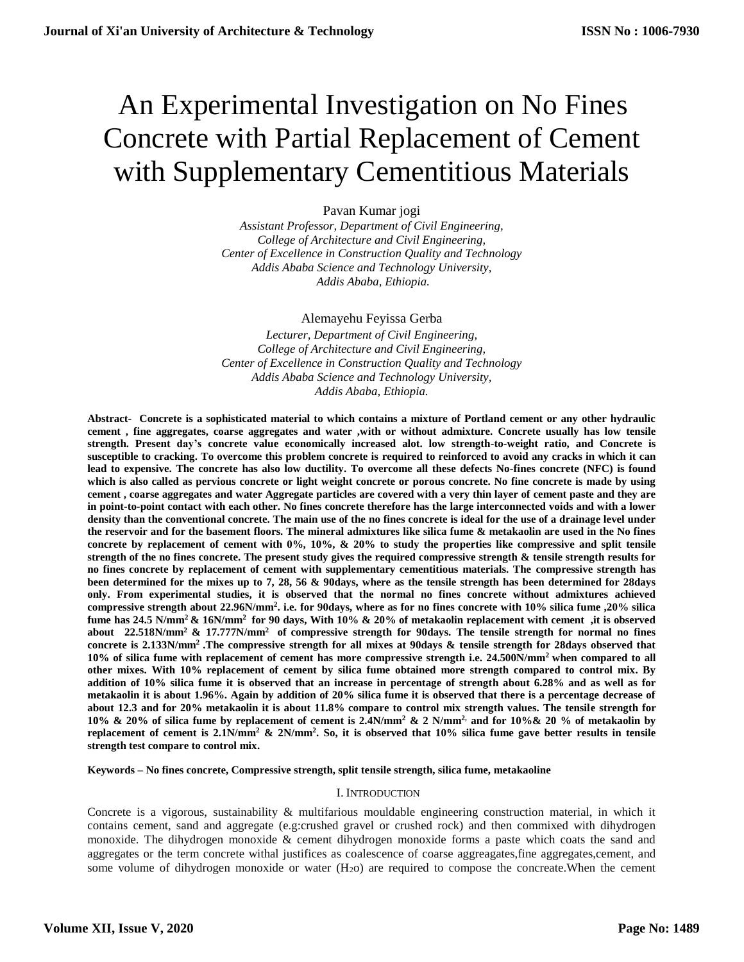# An Experimental Investigation on No Fines Concrete with Partial Replacement of Cement with Supplementary Cementitious Materials

# Pavan Kumar jogi

*Assistant Professor, Department of Civil Engineering, College of Architecture and Civil Engineering, Center of Excellence in Construction Quality and Technology Addis Ababa Science and Technology University, Addis Ababa, Ethiopia.*

# Alemayehu Feyissa Gerba

*Lecturer, Department of Civil Engineering, College of Architecture and Civil Engineering, Center of Excellence in Construction Quality and Technology Addis Ababa Science and Technology University, Addis Ababa, Ethiopia.*

**Abstract- Concrete is a sophisticated material to which contains a mixture of Portland cement or any other hydraulic cement , fine aggregates, coarse aggregates and water ,with or without admixture. Concrete usually has low tensile strength. Present day's concrete value economically increased alot. low strength-to-weight ratio, and Concrete is susceptible to cracking. To overcome this problem concrete is required to reinforced to avoid any cracks in which it can lead to expensive. The concrete has also low ductility. To overcome all these defects No-fines concrete (NFC) is found which is also called as pervious concrete or light weight concrete or porous concrete. No fine concrete is made by using cement , coarse aggregates and water Aggregate particles are covered with a very thin layer of cement paste and they are in point-to-point contact with each other. No fines concrete therefore has the large interconnected voids and with a lower density than the conventional concrete. The main use of the no fines concrete is ideal for the use of a drainage level under the reservoir and for the basement floors. The mineral admixtures like silica fume & metakaolin are used in the No fines concrete by replacement of cement with 0%, 10%, & 20% to study the properties like compressive and split tensile strength of the no fines concrete. The present study gives the required compressive strength & tensile strength results for no fines concrete by replacement of cement with supplementary cementitious materials. The compressive strength has been determined for the mixes up to 7, 28, 56 & 90days, where as the tensile strength has been determined for 28days only. From experimental studies, it is observed that the normal no fines concrete without admixtures achieved compressive strength about 22.96N/mm<sup>2</sup> . i.e. for 90days, where as for no fines concrete with 10% silica fume ,20% silica fume has 24.5 N/mm<sup>2</sup>& 16N/mm<sup>2</sup>for 90 days, With 10% & 20% of metakaolin replacement with cement ,it is observed about 22.518N/mm<sup>2</sup>& 17.777N/mm<sup>2</sup>of compressive strength for 90days. The tensile strength for normal no fines concrete is 2.133N/mm<sup>2</sup>.The compressive strength for all mixes at 90days & tensile strength for 28days observed that 10% of silica fume with replacement of cement has more compressive strength i.e. 24.500N/mm<sup>2</sup>when compared to all other mixes. With 10% replacement of cement by silica fume obtained more strength compared to control mix. By addition of 10% silica fume it is observed that an increase in percentage of strength about 6.28% and as well as for metakaolin it is about 1.96%. Again by addition of 20% silica fume it is observed that there is a percentage decrease of about 12.3 and for 20% metakaolin it is about 11.8% compare to control mix strength values. The tensile strength for 10% & 20% of silica fume by replacement of cement is 2.4N/mm<sup>2</sup> & 2 N/mm2, and for 10%& 20 % of metakaolin by replacement of cement is 2.1N/mm<sup>2</sup> & 2N/mm<sup>2</sup> . So, it is observed that 10% silica fume gave better results in tensile strength test compare to control mix.**

**Keywords – No fines concrete, Compressive strength, split tensile strength, silica fume, metakaoline**

# I. INTRODUCTION

Concrete is a vigorous, sustainability & multifarious mouldable engineering construction material, in which it contains cement, sand and aggregate (e.g:crushed gravel or crushed rock) and then commixed with dihydrogen monoxide. The dihydrogen monoxide & cement dihydrogen monoxide forms a paste which coats the sand and aggregates or the term concrete withal justifices as coalescence of coarse aggreagates,fine aggregates,cement, and some volume of dihydrogen monoxide or water  $(H<sub>2</sub>o)$  are required to compose the concreate. When the cement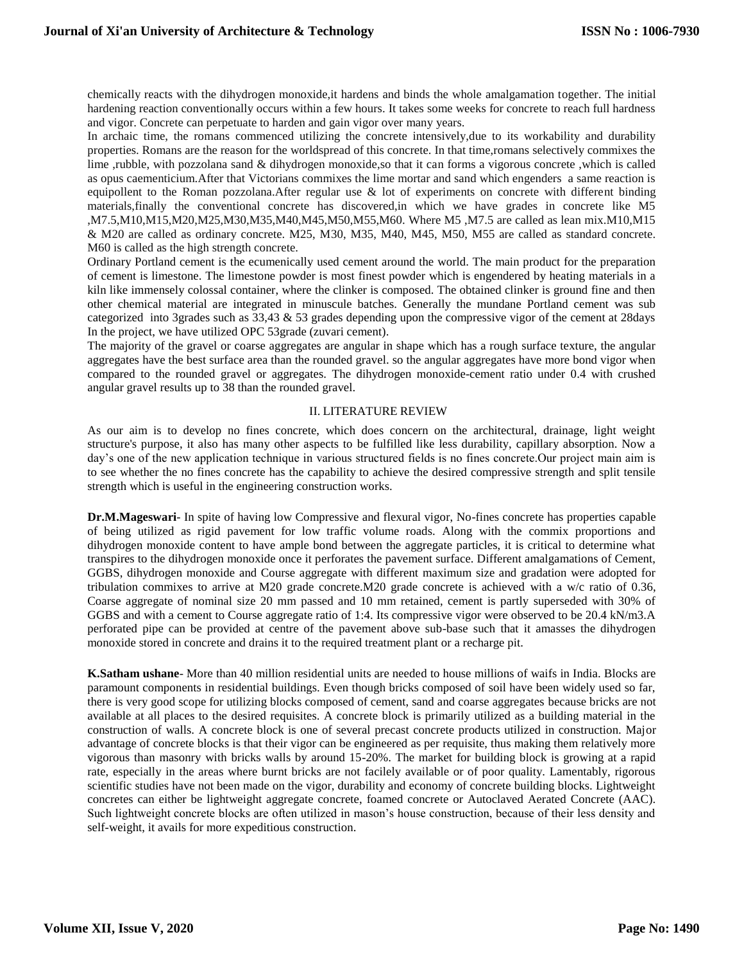chemically reacts with the dihydrogen monoxide,it hardens and binds the whole amalgamation together. The initial hardening reaction conventionally occurs within a few hours. It takes some weeks for concrete to reach full hardness and vigor. Concrete can perpetuate to harden and gain vigor over many years.

In archaic time, the romans commenced utilizing the concrete intensively,due to its workability and durability properties. Romans are the reason for the worldspread of this concrete. In that time,romans selectively commixes the lime ,rubble, with pozzolana sand & dihydrogen monoxide,so that it can forms a vigorous concrete ,which is called as opus caementicium.After that Victorians commixes the lime mortar and sand which engenders a same reaction is equipollent to the Roman pozzolana.After regular use & lot of experiments on concrete with different binding materials,finally the conventional concrete has discovered,in which we have grades in concrete like M5 ,M7.5,M10,M15,M20,M25,M30,M35,M40,M45,M50,M55,M60. Where M5 ,M7.5 are called as lean mix.M10,M15 & M20 are called as ordinary concrete. M25, M30, M35, M40, M45, M50, M55 are called as standard concrete. M60 is called as the high strength concrete.

Ordinary Portland cement is the ecumenically used cement around the world. The main product for the preparation of cement is limestone. The limestone powder is most finest powder which is engendered by heating materials in a kiln like immensely colossal container, where the clinker is composed. The obtained clinker is ground fine and then other chemical material are integrated in minuscule batches. Generally the mundane Portland cement was sub categorized into 3grades such as 33,43 & 53 grades depending upon the compressive vigor of the cement at 28days In the project, we have utilized OPC 53grade (zuvari cement).

The majority of the gravel or coarse aggregates are angular in shape which has a rough surface texture, the angular aggregates have the best surface area than the rounded gravel. so the angular aggregates have more bond vigor when compared to the rounded gravel or aggregates. The dihydrogen monoxide-cement ratio under 0.4 with crushed angular gravel results up to 38 than the rounded gravel.

#### II. LITERATURE REVIEW

As our aim is to develop no fines concrete, which does concern on the architectural, drainage, light weight structure's purpose, it also has many other aspects to be fulfilled like less durability, capillary absorption. Now a day's one of the new application technique in various structured fields is no fines concrete.Our project main aim is to see whether the no fines concrete has the capability to achieve the desired compressive strength and split tensile strength which is useful in the engineering construction works.

**Dr.M.Mageswari**- In spite of having low Compressive and flexural vigor, No-fines concrete has properties capable of being utilized as rigid pavement for low traffic volume roads. Along with the commix proportions and dihydrogen monoxide content to have ample bond between the aggregate particles, it is critical to determine what transpires to the dihydrogen monoxide once it perforates the pavement surface. Different amalgamations of Cement, GGBS, dihydrogen monoxide and Course aggregate with different maximum size and gradation were adopted for tribulation commixes to arrive at M20 grade concrete.M20 grade concrete is achieved with a w/c ratio of 0.36, Coarse aggregate of nominal size 20 mm passed and 10 mm retained, cement is partly superseded with 30% of GGBS and with a cement to Course aggregate ratio of 1:4. Its compressive vigor were observed to be 20.4 kN/m3.A perforated pipe can be provided at centre of the pavement above sub-base such that it amasses the dihydrogen monoxide stored in concrete and drains it to the required treatment plant or a recharge pit.

**K.Satham ushane**- More than 40 million residential units are needed to house millions of waifs in India. Blocks are paramount components in residential buildings. Even though bricks composed of soil have been widely used so far, there is very good scope for utilizing blocks composed of cement, sand and coarse aggregates because bricks are not available at all places to the desired requisites. A concrete block is primarily utilized as a building material in the construction of walls. A concrete block is one of several precast concrete products utilized in construction. Major advantage of concrete blocks is that their vigor can be engineered as per requisite, thus making them relatively more vigorous than masonry with bricks walls by around 15-20%. The market for building block is growing at a rapid rate, especially in the areas where burnt bricks are not facilely available or of poor quality. Lamentably, rigorous scientific studies have not been made on the vigor, durability and economy of concrete building blocks. Lightweight concretes can either be lightweight aggregate concrete, foamed concrete or Autoclaved Aerated Concrete (AAC). Such lightweight concrete blocks are often utilized in mason's house construction, because of their less density and self-weight, it avails for more expeditious construction.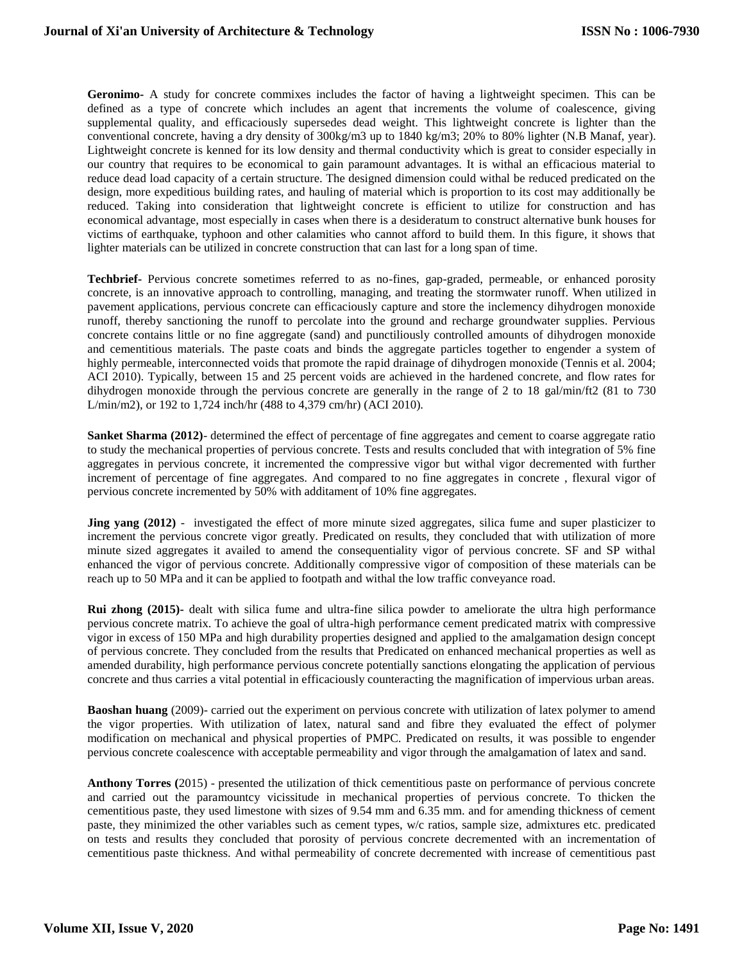**Geronimo-** A study for concrete commixes includes the factor of having a lightweight specimen. This can be defined as a type of concrete which includes an agent that increments the volume of coalescence, giving supplemental quality, and efficaciously supersedes dead weight. This lightweight concrete is lighter than the conventional concrete, having a dry density of 300kg/m3 up to 1840 kg/m3; 20% to 80% lighter (N.B Manaf, year). Lightweight concrete is kenned for its low density and thermal conductivity which is great to consider especially in our country that requires to be economical to gain paramount advantages. It is withal an efficacious material to reduce dead load capacity of a certain structure. The designed dimension could withal be reduced predicated on the design, more expeditious building rates, and hauling of material which is proportion to its cost may additionally be reduced. Taking into consideration that lightweight concrete is efficient to utilize for construction and has economical advantage, most especially in cases when there is a desideratum to construct alternative bunk houses for victims of earthquake, typhoon and other calamities who cannot afford to build them. In this figure, it shows that lighter materials can be utilized in concrete construction that can last for a long span of time.

**Techbrief-** Pervious concrete sometimes referred to as no-fines, gap-graded, permeable, or enhanced porosity concrete, is an innovative approach to controlling, managing, and treating the stormwater runoff. When utilized in pavement applications, pervious concrete can efficaciously capture and store the inclemency dihydrogen monoxide runoff, thereby sanctioning the runoff to percolate into the ground and recharge groundwater supplies. Pervious concrete contains little or no fine aggregate (sand) and punctiliously controlled amounts of dihydrogen monoxide and cementitious materials. The paste coats and binds the aggregate particles together to engender a system of highly permeable, interconnected voids that promote the rapid drainage of dihydrogen monoxide (Tennis et al. 2004; ACI 2010). Typically, between 15 and 25 percent voids are achieved in the hardened concrete, and flow rates for dihydrogen monoxide through the pervious concrete are generally in the range of 2 to 18 gal/min/ft2 (81 to 730 L/min/m2), or 192 to 1,724 inch/hr (488 to 4,379 cm/hr) (ACI 2010).

**Sanket Sharma (2012)**- determined the effect of percentage of fine aggregates and cement to coarse aggregate ratio to study the mechanical properties of pervious concrete. Tests and results concluded that with integration of 5% fine aggregates in pervious concrete, it incremented the compressive vigor but withal vigor decremented with further increment of percentage of fine aggregates. And compared to no fine aggregates in concrete , flexural vigor of pervious concrete incremented by 50% with additament of 10% fine aggregates.

**Jing yang (2012)** - investigated the effect of more minute sized aggregates, silica fume and super plasticizer to increment the pervious concrete vigor greatly. Predicated on results, they concluded that with utilization of more minute sized aggregates it availed to amend the consequentiality vigor of pervious concrete. SF and SP withal enhanced the vigor of pervious concrete. Additionally compressive vigor of composition of these materials can be reach up to 50 MPa and it can be applied to footpath and withal the low traffic conveyance road.

**Rui zhong (2015)-** dealt with silica fume and ultra-fine silica powder to ameliorate the ultra high performance pervious concrete matrix. To achieve the goal of ultra-high performance cement predicated matrix with compressive vigor in excess of 150 MPa and high durability properties designed and applied to the amalgamation design concept of pervious concrete. They concluded from the results that Predicated on enhanced mechanical properties as well as amended durability, high performance pervious concrete potentially sanctions elongating the application of pervious concrete and thus carries a vital potential in efficaciously counteracting the magnification of impervious urban areas.

**Baoshan huang** (2009)- carried out the experiment on pervious concrete with utilization of latex polymer to amend the vigor properties. With utilization of latex, natural sand and fibre they evaluated the effect of polymer modification on mechanical and physical properties of PMPC. Predicated on results, it was possible to engender pervious concrete coalescence with acceptable permeability and vigor through the amalgamation of latex and sand.

**Anthony Torres (**2015) - presented the utilization of thick cementitious paste on performance of pervious concrete and carried out the paramountcy vicissitude in mechanical properties of pervious concrete. To thicken the cementitious paste, they used limestone with sizes of 9.54 mm and 6.35 mm. and for amending thickness of cement paste, they minimized the other variables such as cement types, w/c ratios, sample size, admixtures etc. predicated on tests and results they concluded that porosity of pervious concrete decremented with an incrementation of cementitious paste thickness. And withal permeability of concrete decremented with increase of cementitious past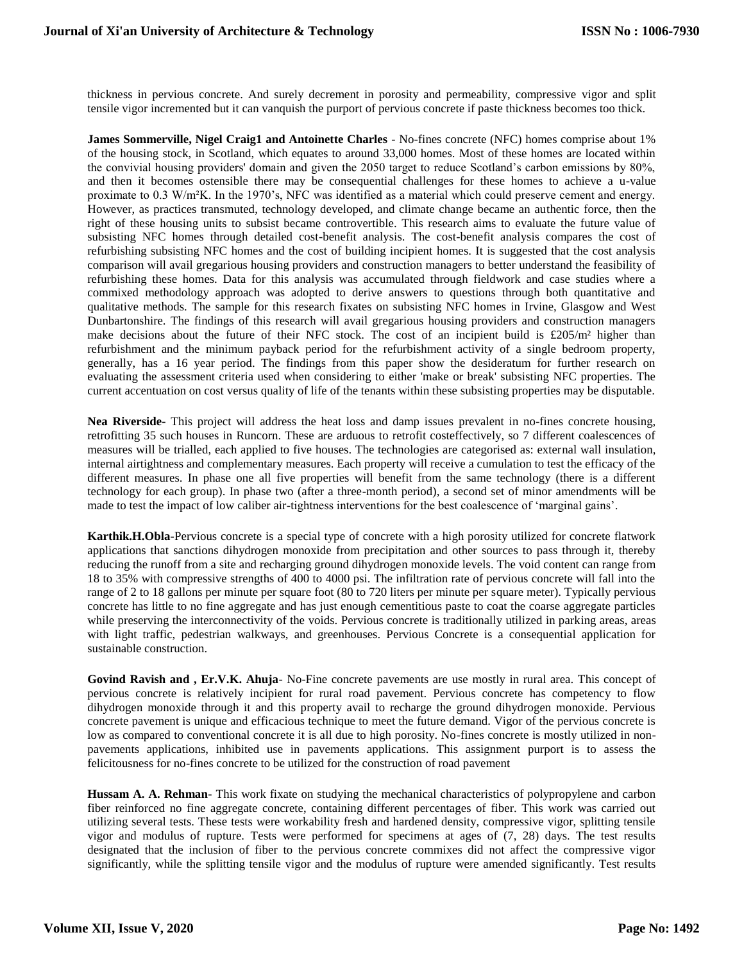thickness in pervious concrete. And surely decrement in porosity and permeability, compressive vigor and split tensile vigor incremented but it can vanquish the purport of pervious concrete if paste thickness becomes too thick.

**James Sommerville, Nigel Craig1 and Antoinette Charles** - No-fines concrete (NFC) homes comprise about 1% of the housing stock, in Scotland, which equates to around 33,000 homes. Most of these homes are located within the convivial housing providers' domain and given the 2050 target to reduce Scotland's carbon emissions by 80%, and then it becomes ostensible there may be consequential challenges for these homes to achieve a u-value proximate to 0.3 W/m²K. In the 1970's, NFC was identified as a material which could preserve cement and energy. However, as practices transmuted, technology developed, and climate change became an authentic force, then the right of these housing units to subsist became controvertible. This research aims to evaluate the future value of subsisting NFC homes through detailed cost-benefit analysis. The cost-benefit analysis compares the cost of refurbishing subsisting NFC homes and the cost of building incipient homes. It is suggested that the cost analysis comparison will avail gregarious housing providers and construction managers to better understand the feasibility of refurbishing these homes. Data for this analysis was accumulated through fieldwork and case studies where a commixed methodology approach was adopted to derive answers to questions through both quantitative and qualitative methods. The sample for this research fixates on subsisting NFC homes in Irvine, Glasgow and West Dunbartonshire. The findings of this research will avail gregarious housing providers and construction managers make decisions about the future of their NFC stock. The cost of an incipient build is £205/m² higher than refurbishment and the minimum payback period for the refurbishment activity of a single bedroom property, generally, has a 16 year period. The findings from this paper show the desideratum for further research on evaluating the assessment criteria used when considering to either 'make or break' subsisting NFC properties. The current accentuation on cost versus quality of life of the tenants within these subsisting properties may be disputable.

**Nea Riverside-** This project will address the heat loss and damp issues prevalent in no-fines concrete housing, retrofitting 35 such houses in Runcorn. These are arduous to retrofit costeffectively, so 7 different coalescences of measures will be trialled, each applied to five houses. The technologies are categorised as: external wall insulation, internal airtightness and complementary measures. Each property will receive a cumulation to test the efficacy of the different measures. In phase one all five properties will benefit from the same technology (there is a different technology for each group). In phase two (after a three-month period), a second set of minor amendments will be made to test the impact of low caliber air-tightness interventions for the best coalescence of 'marginal gains'.

**Karthik.H.Obla-**Pervious concrete is a special type of concrete with a high porosity utilized for concrete flatwork applications that sanctions dihydrogen monoxide from precipitation and other sources to pass through it, thereby reducing the runoff from a site and recharging ground dihydrogen monoxide levels. The void content can range from 18 to 35% with compressive strengths of 400 to 4000 psi. The infiltration rate of pervious concrete will fall into the range of 2 to 18 gallons per minute per square foot (80 to 720 liters per minute per square meter). Typically pervious concrete has little to no fine aggregate and has just enough cementitious paste to coat the coarse aggregate particles while preserving the interconnectivity of the voids. Pervious concrete is traditionally utilized in parking areas, areas with light traffic, pedestrian walkways, and greenhouses. Pervious Concrete is a consequential application for sustainable construction.

**Govind Ravish and , Er.V.K. Ahuja**- No-Fine concrete pavements are use mostly in rural area. This concept of pervious concrete is relatively incipient for rural road pavement. Pervious concrete has competency to flow dihydrogen monoxide through it and this property avail to recharge the ground dihydrogen monoxide. Pervious concrete pavement is unique and efficacious technique to meet the future demand. Vigor of the pervious concrete is low as compared to conventional concrete it is all due to high porosity. No-fines concrete is mostly utilized in nonpavements applications, inhibited use in pavements applications. This assignment purport is to assess the felicitousness for no-fines concrete to be utilized for the construction of road pavement

**Hussam A. A. Rehman-** This work fixate on studying the mechanical characteristics of polypropylene and carbon fiber reinforced no fine aggregate concrete, containing different percentages of fiber. This work was carried out utilizing several tests. These tests were workability fresh and hardened density, compressive vigor, splitting tensile vigor and modulus of rupture. Tests were performed for specimens at ages of (7, 28) days. The test results designated that the inclusion of fiber to the pervious concrete commixes did not affect the compressive vigor significantly, while the splitting tensile vigor and the modulus of rupture were amended significantly. Test results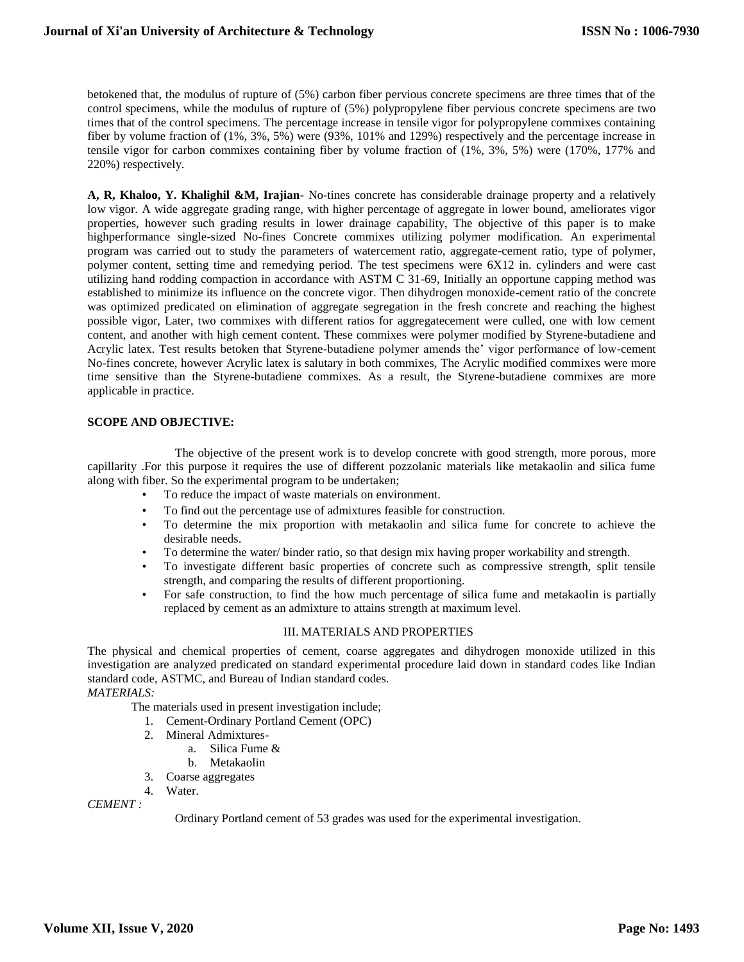betokened that, the modulus of rupture of (5%) carbon fiber pervious concrete specimens are three times that of the control specimens, while the modulus of rupture of (5%) polypropylene fiber pervious concrete specimens are two times that of the control specimens. The percentage increase in tensile vigor for polypropylene commixes containing fiber by volume fraction of (1%, 3%, 5%) were (93%, 101% and 129%) respectively and the percentage increase in tensile vigor for carbon commixes containing fiber by volume fraction of (1%, 3%, 5%) were (170%, 177% and 220%) respectively.

**A, R, Khaloo, Y. Khalighil &M, Irajian-** No-tines concrete has considerable drainage property and a relatively low vigor. A wide aggregate grading range, with higher percentage of aggregate in lower bound, ameliorates vigor properties, however such grading results in lower drainage capability, The objective of this paper is to make highperformance single-sized No-fines Concrete commixes utilizing polymer modification. An experimental program was carried out to study the parameters of watercement ratio, aggregate-cement ratio, type of polymer, polymer content, setting time and remedying period. The test specimens were 6X12 in. cylinders and were cast utilizing hand rodding compaction in accordance with ASTM C 31-69, Initially an opportune capping method was established to minimize its influence on the concrete vigor. Then dihydrogen monoxide-cement ratio of the concrete was optimized predicated on elimination of aggregate segregation in the fresh concrete and reaching the highest possible vigor, Later, two commixes with different ratios for aggregatecement were culled, one with low cement content, and another with high cement content. These commixes were polymer modified by Styrene-butadiene and Acrylic latex. Test results betoken that Styrene-butadiene polymer amends the' vigor performance of low-cement No-fines concrete, however Acrylic latex is salutary in both commixes, The Acrylic modified commixes were more time sensitive than the Styrene-butadiene commixes. As a result, the Styrene-butadiene commixes are more applicable in practice.

#### **SCOPE AND OBJECTIVE:**

The objective of the present work is to develop concrete with good strength, more porous, more capillarity .For this purpose it requires the use of different pozzolanic materials like metakaolin and silica fume along with fiber. So the experimental program to be undertaken;

- To reduce the impact of waste materials on environment.
- To find out the percentage use of admixtures feasible for construction.
- To determine the mix proportion with metakaolin and silica fume for concrete to achieve the desirable needs.
- To determine the water/ binder ratio, so that design mix having proper workability and strength.
- To investigate different basic properties of concrete such as compressive strength, split tensile strength, and comparing the results of different proportioning.
- For safe construction, to find the how much percentage of silica fume and metakaolin is partially replaced by cement as an admixture to attains strength at maximum level.

#### III. MATERIALS AND PROPERTIES

The physical and chemical properties of cement, coarse aggregates and dihydrogen monoxide utilized in this investigation are analyzed predicated on standard experimental procedure laid down in standard codes like Indian standard code, ASTMC, and Bureau of Indian standard codes.

*MATERIALS:*

The materials used in present investigation include;

- 1. Cement-Ordinary Portland Cement (OPC)
- 2. Mineral Admixtures
	- a. Silica Fume &
	- b. Metakaolin
- 3. Coarse aggregates
- 4. Water.

*CEMENT :*

Ordinary Portland cement of 53 grades was used for the experimental investigation.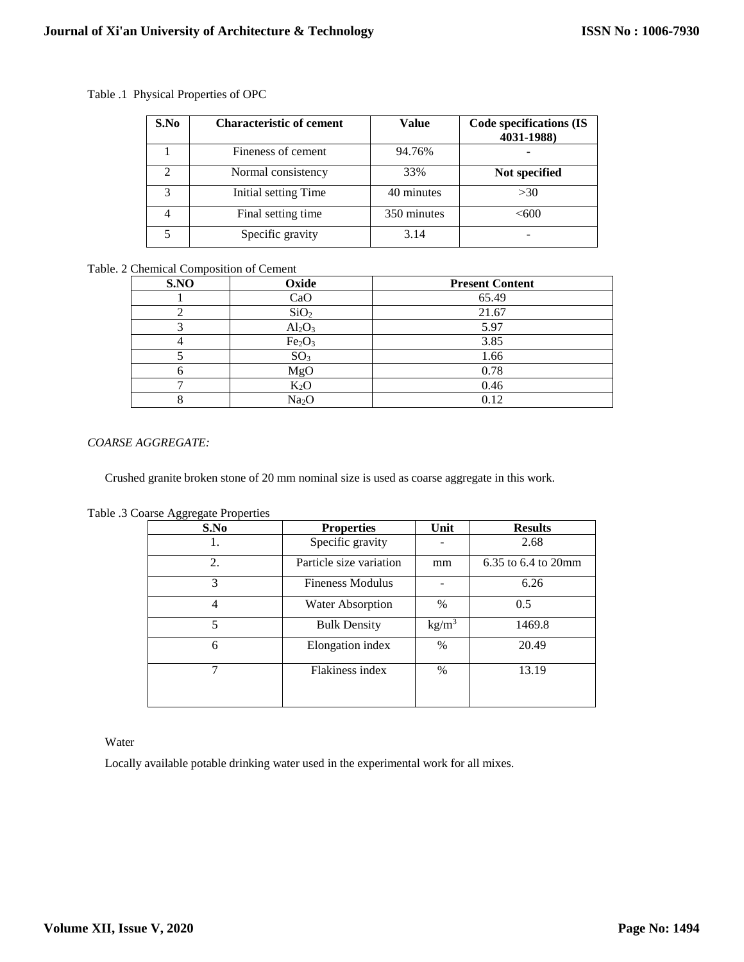| S.No | <b>Characteristic of cement</b> | Value       | <b>Code specifications (IS</b><br>4031-1988) |
|------|---------------------------------|-------------|----------------------------------------------|
|      | Fineness of cement              | 94.76%      |                                              |
|      | Normal consistency              | 33%         | Not specified                                |
|      | Initial setting Time            | 40 minutes  | >30                                          |
|      | Final setting time              | 350 minutes | < 600                                        |
|      | Specific gravity                | 3.14        |                                              |

## Table .1 Physical Properties of OPC

# Table. 2 Chemical Composition of Cement

| S.NO | Oxide                          | <b>Present Content</b> |
|------|--------------------------------|------------------------|
|      | CaO                            | 65.49                  |
|      | SiO <sub>2</sub>               | 21.67                  |
|      | $Al_2O_3$                      | 5.97                   |
|      | Fe <sub>2</sub> O <sub>3</sub> | 3.85                   |
|      | SO <sub>3</sub>                | 1.66                   |
|      | MgO                            | 0.78                   |
|      | $K_2O$                         | 0.46                   |
|      | Na <sub>2</sub> O              | 0.12                   |

#### *COARSE AGGREGATE:*

Crushed granite broken stone of 20 mm nominal size is used as coarse aggregate in this work.

| S.No | <b>Properties</b>       | Unit              | <b>Results</b>      |
|------|-------------------------|-------------------|---------------------|
|      | Specific gravity        |                   | 2.68                |
| 2.   | Particle size variation | mm                | 6.35 to 6.4 to 20mm |
| 3    | <b>Fineness Modulus</b> |                   | 6.26                |
| 4    | Water Absorption        | $\%$              | 0.5                 |
| 5    | <b>Bulk Density</b>     | kg/m <sup>3</sup> | 1469.8              |
| 6    | Elongation index        | $\%$              | 20.49               |
|      | Flakiness index         | $\%$              | 13.19               |
|      |                         |                   |                     |

Table .3 Coarse Aggregate Properties

Water

Locally available potable drinking water used in the experimental work for all mixes.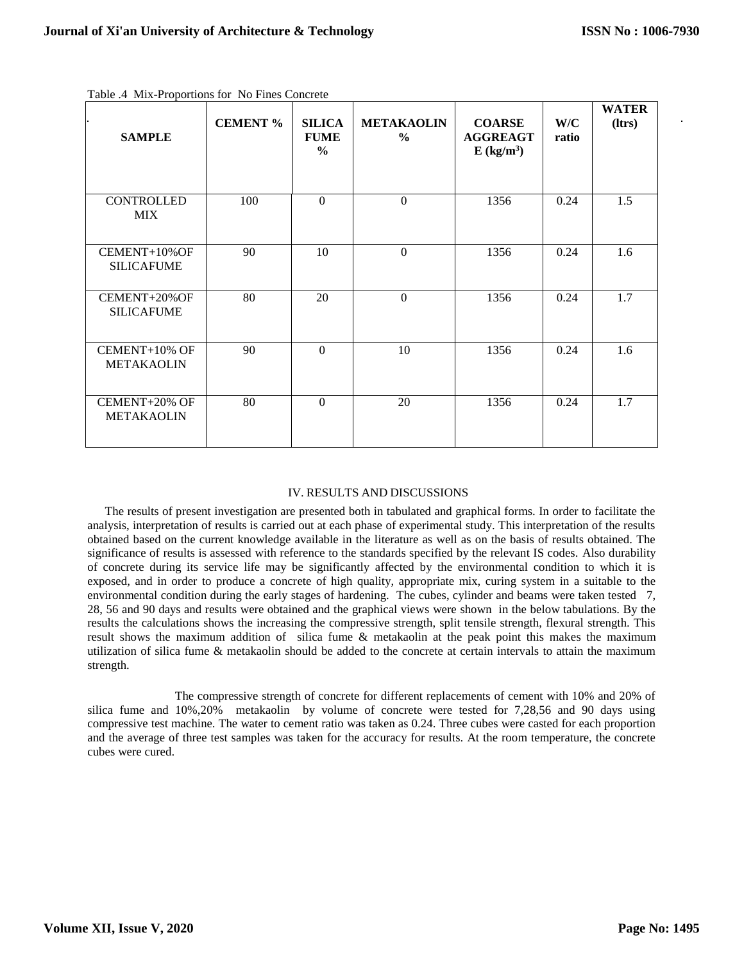| <b>SAMPLE</b>                      | <b>CEMENT %</b> | <b>SILICA</b><br><b>FUME</b><br>$\frac{0}{0}$ | <b>METAKAOLIN</b><br>$\frac{6}{9}$ | <b>COARSE</b><br><b>AGGREAGT</b><br>$E$ (kg/m <sup>3</sup> ) | W/C<br>ratio | <b>WATER</b><br>(ltrs) |
|------------------------------------|-----------------|-----------------------------------------------|------------------------------------|--------------------------------------------------------------|--------------|------------------------|
| <b>CONTROLLED</b><br><b>MIX</b>    | 100             | $\theta$                                      | $\Omega$                           | 1356                                                         | 0.24         | 1.5                    |
| CEMENT+10%OF<br><b>SILICAFUME</b>  | 90              | 10                                            | $\Omega$                           | 1356                                                         | 0.24         | 1.6                    |
| CEMENT+20%OF<br><b>SILICAFUME</b>  | 80              | 20                                            | $\overline{0}$                     | 1356                                                         | 0.24         | 1.7                    |
| CEMENT+10% OF<br><b>METAKAOLIN</b> | 90              | $\mathbf{0}$                                  | 10                                 | 1356                                                         | 0.24         | 1.6                    |
| CEMENT+20% OF<br><b>METAKAOLIN</b> | 80              | $\Omega$                                      | 20                                 | 1356                                                         | 0.24         | 1.7                    |

Table .4 Mix-Proportions for No Fines Concrete

## IV. RESULTS AND DISCUSSIONS

The results of present investigation are presented both in tabulated and graphical forms. In order to facilitate the analysis, interpretation of results is carried out at each phase of experimental study. This interpretation of the results obtained based on the current knowledge available in the literature as well as on the basis of results obtained. The significance of results is assessed with reference to the standards specified by the relevant IS codes. Also durability of concrete during its service life may be significantly affected by the environmental condition to which it is exposed, and in order to produce a concrete of high quality, appropriate mix, curing system in a suitable to the environmental condition during the early stages of hardening. The cubes, cylinder and beams were taken tested 7, 28, 56 and 90 days and results were obtained and the graphical views were shown in the below tabulations. By the results the calculations shows the increasing the compressive strength, split tensile strength, flexural strength. This result shows the maximum addition of silica fume & metakaolin at the peak point this makes the maximum utilization of silica fume & metakaolin should be added to the concrete at certain intervals to attain the maximum strength.

The compressive strength of concrete for different replacements of cement with 10% and 20% of silica fume and 10%,20% metakaolin by volume of concrete were tested for 7,28,56 and 90 days using compressive test machine. The water to cement ratio was taken as 0.24. Three cubes were casted for each proportion and the average of three test samples was taken for the accuracy for results. At the room temperature, the concrete cubes were cured.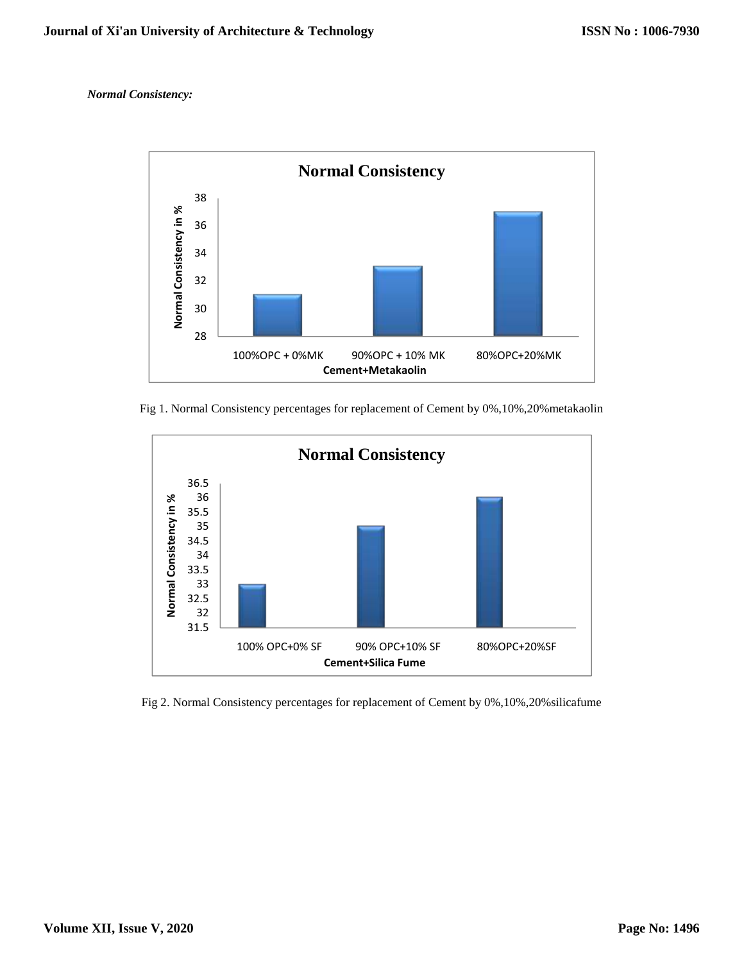*Normal Consistency:*



Fig 1. Normal Consistency percentages for replacement of Cement by 0%,10%,20%metakaolin



Fig 2. Normal Consistency percentages for replacement of Cement by 0%,10%,20%silicafume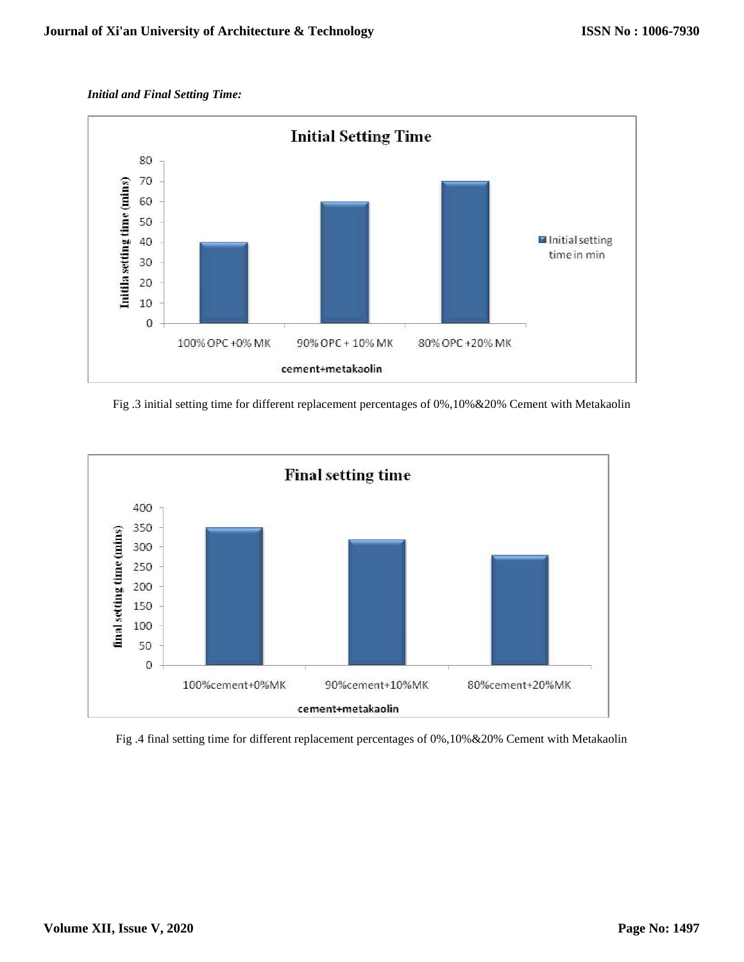## *Initial and Final Setting Time:*



Fig .3 initial setting time for different replacement percentages of 0%,10%&20% Cement with Metakaolin



### Fig .4 final setting time for different replacement percentages of 0%,10%&20% Cement with Metakaolin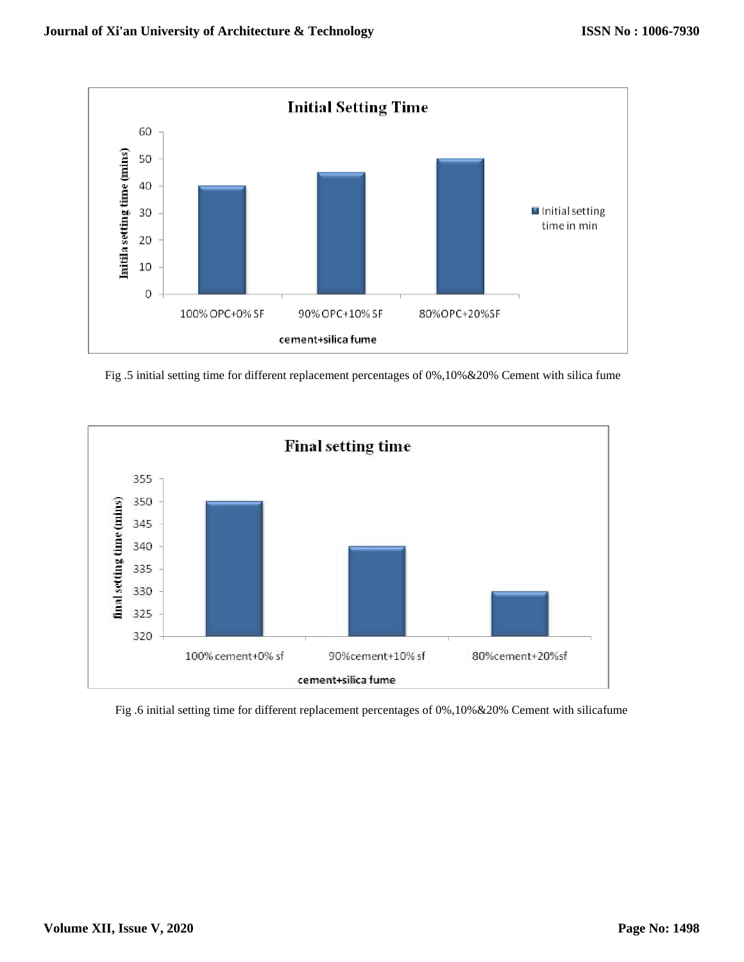

Fig .5 initial setting time for different replacement percentages of 0%,10%&20% Cement with silica fume



Fig .6 initial setting time for different replacement percentages of 0%,10%&20% Cement with silicafume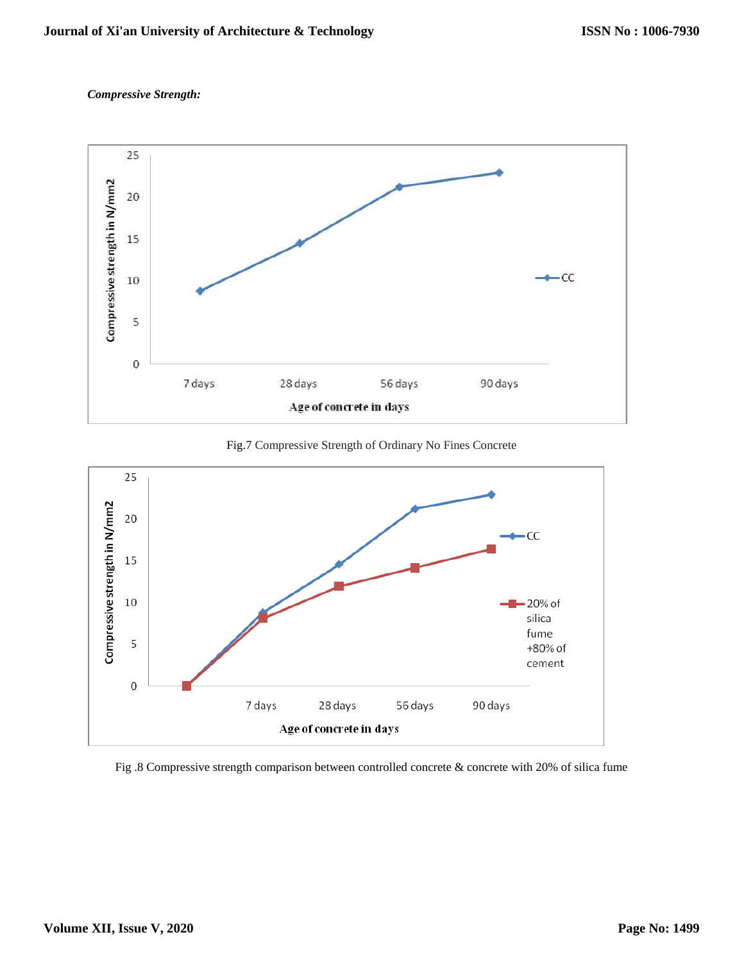# *Compressive Strength:*



Fig.7 Compressive Strength of Ordinary No Fines Concrete



#### Fig .8 Compressive strength comparison between controlled concrete & concrete with 20% of silica fume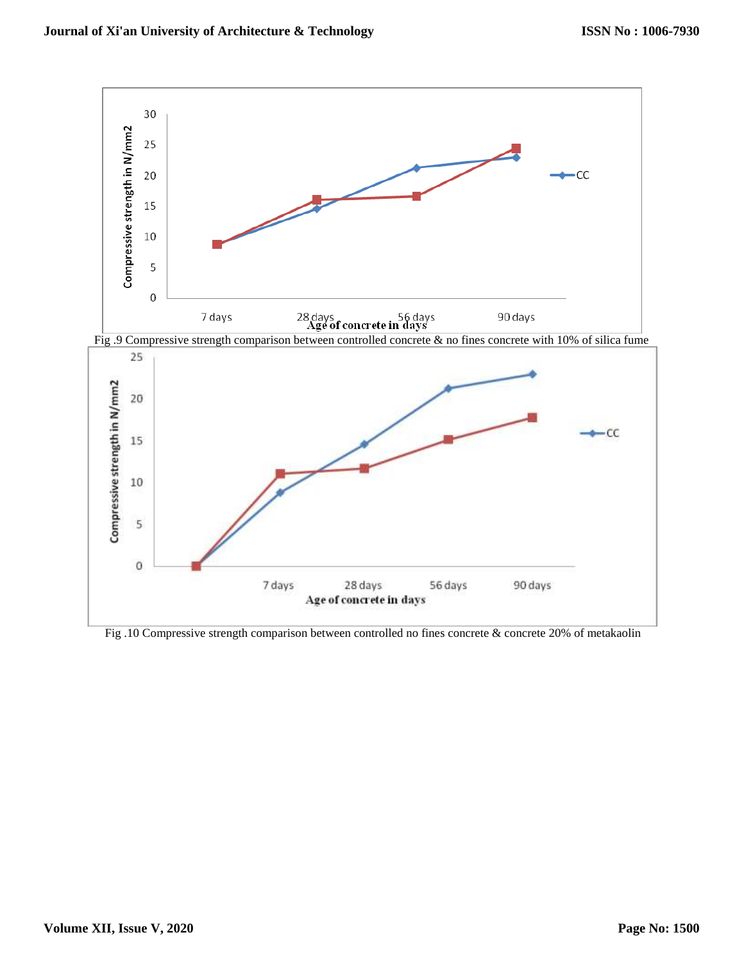

Fig .10 Compressive strength comparison between controlled no fines concrete & concrete 20% of metakaolin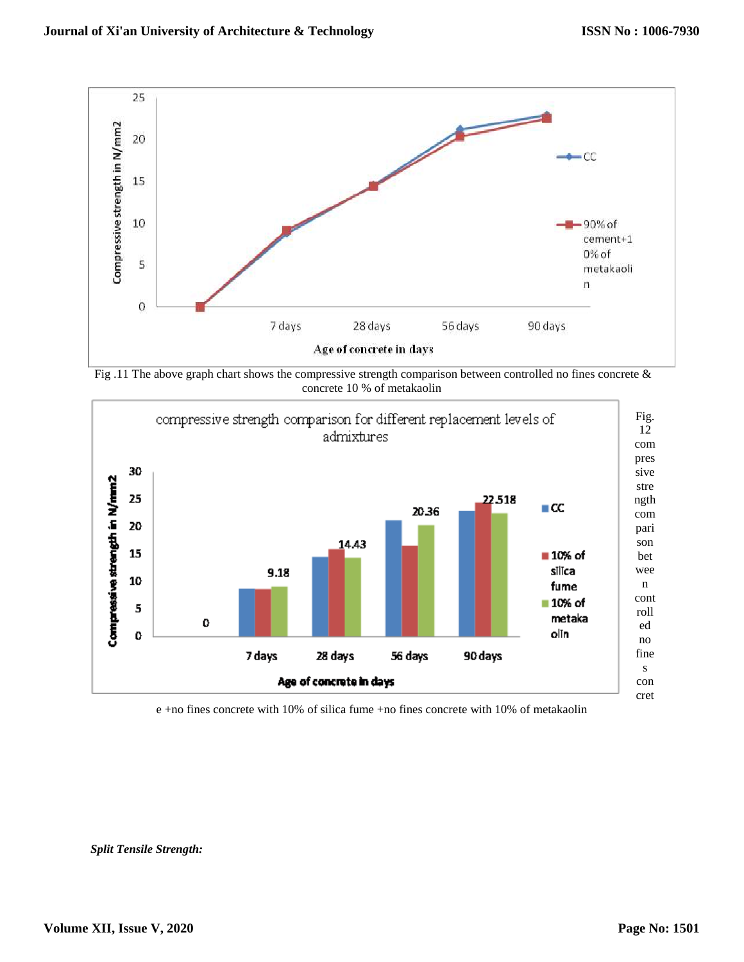

Fig .11 The above graph chart shows the compressive strength comparison between controlled no fines concrete  $\&$ concrete 10 % of metakaolin



e +no fines concrete with 10% of silica fume +no fines concrete with 10% of metakaolin

*Split Tensile Strength:*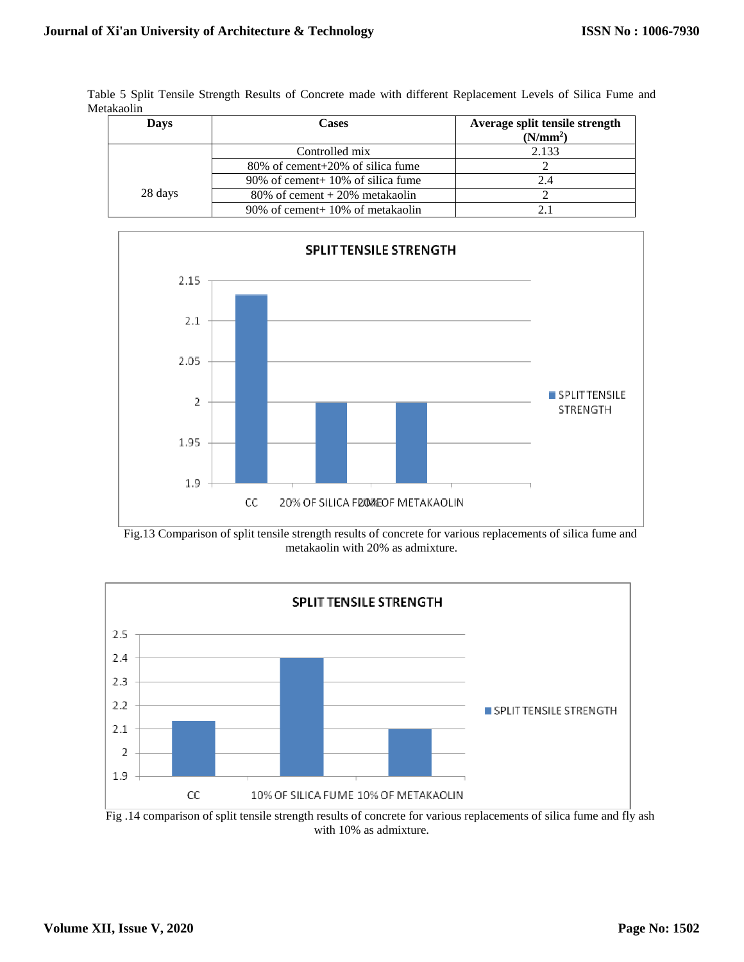Table 5 Split Tensile Strength Results of Concrete made with different Replacement Levels of Silica Fume and Metakaolin

| Davs    | Cases                              | Average split tensile strength |  |
|---------|------------------------------------|--------------------------------|--|
|         |                                    | (N/mm <sup>2</sup> )           |  |
|         | Controlled mix                     | 2.133                          |  |
|         | 80% of cement+20% of silica fume   |                                |  |
|         | 90% of cement + 10% of silica fume | 2.4                            |  |
| 28 days | $80\%$ of cement + 20% metakaolin  |                                |  |
|         | 90% of cement + 10% of metakaolin  |                                |  |







Fig. 14 comparison of split tensile strength results of concrete for various replacements of silica fume and fly ash with 10% as admixture.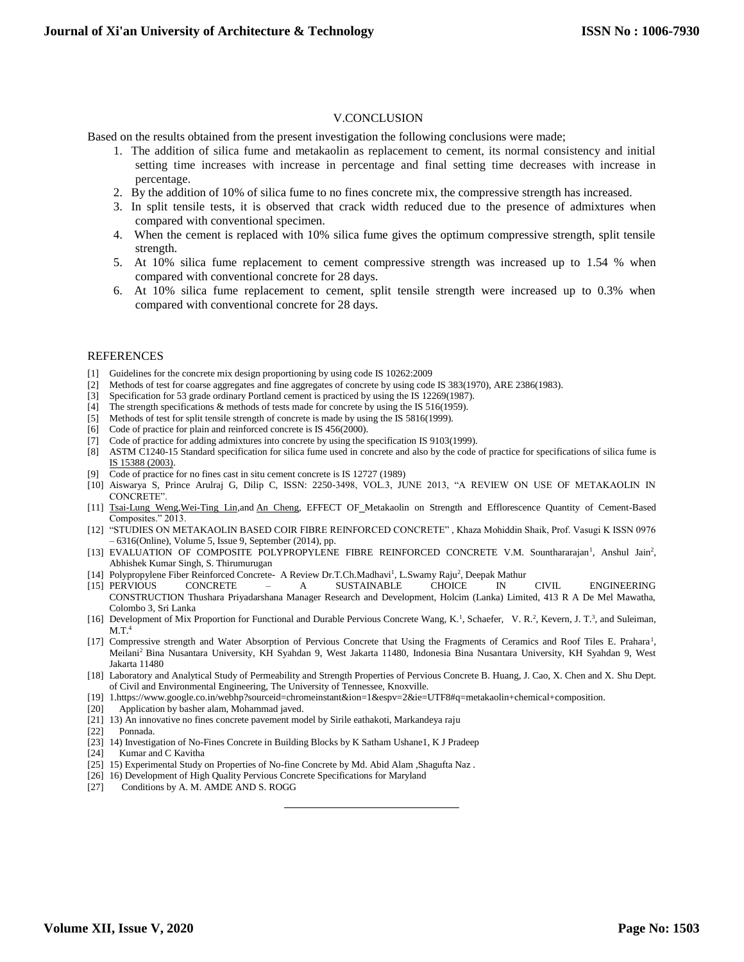#### V.CONCLUSION

Based on the results obtained from the present investigation the following conclusions were made;

- 1. The addition of silica fume and metakaolin as replacement to cement, its normal consistency and initial setting time increases with increase in percentage and final setting time decreases with increase in percentage.
- 2. By the addition of 10% of silica fume to no fines concrete mix, the compressive strength has increased.
- 3. In split tensile tests, it is observed that crack width reduced due to the presence of admixtures when compared with conventional specimen.
- 4. When the cement is replaced with 10% silica fume gives the optimum compressive strength, split tensile strength.
- 5. At 10% silica fume replacement to cement compressive strength was increased up to 1.54 % when compared with conventional concrete for 28 days.
- 6. At 10% silica fume replacement to cement, split tensile strength were increased up to 0.3% when compared with conventional concrete for 28 days.

#### REFERENCES

- [1] Guidelines for the concrete mix design proportioning by using code IS 10262:2009
- [2] Methods of test for coarse aggregates and fine aggregates of concrete by using code IS 383(1970), ARE 2386(1983).
- [3] Specification for 53 grade ordinary Portland cement is practiced by using the IS 12269(1987).
- [4] The strength specifications & methods of tests made for concrete by using the IS 516(1959).
- [5] Methods of test for split tensile strength of concrete is made by using the IS 5816(1999).
- [6] Code of practice for plain and reinforced concrete is IS 456(2000).
- [7] Code of practice for adding admixtures into concrete by using the specification IS 9103(1999).
- [8] ASTM C1240-15 Standard specification for silica fume used in concrete and also by the code of practice for specifications of silica fume is [IS 15388 \(2003\).](https://www.google.co.in/url?sa=t&rct=j&q=&esrc=s&source=web&cd=1&ved=0ahUKEwjfg8C31O7MAhVEo48KHcD3CdIQFgg3MAA&url=https%3A%2F%2Flaw.resource.org%2Fpub%2Fin%2Fbis%2FS03%2Fis.15388.2003.pdf&usg=AFQjCNFjC48cOGfn1EsXkqrKJawhPePyiw&sig2=PNV-ZPA9xs7KuZseEyIfyg&bvm=bv.122448493,d.c2I)
- [9] Code of practice for no fines cast in situ cement concrete is IS 12727 (1989)
- [10] Aiswarya S, Prince Arulraj G, Dilip C, ISSN: 2250-3498, VOL.3, JUNE 2013, "A REVIEW ON USE OF METAKAOLIN IN CONCRETE".
- [11] [Tsai-Lung Weng,](http://www.hindawi.com/32896340/) Wei-Ting Lin, and [An Cheng,](http://www.hindawi.com/56237574/) EFFECT OF\_Metakaolin on Strength and Efflorescence Quantity of Cement-Based Composites." 2013.
- [12] "STUDIES ON METAKAOLIN BASED COIR FIBRE REINFORCED CONCRETE" , Khaza Mohiddin Shaik, Prof. Vasugi K ISSN 0976 – 6316(Online), Volume 5, Issue 9, September (2014), pp.
- [13] EVALUATION OF COMPOSITE POLYPROPYLENE FIBRE REINFORCED CONCRETE V.M. Sounthararajan<sup>1</sup>, Anshul Jain<sup>2</sup>, Abhishek Kumar Singh, S. Thirumurugan
- [14] Polypropylene Fiber Reinforced Concrete- A Review Dr.T.Ch.Madhavi<sup>1</sup>, L.Swamy Raju<sup>2</sup>, Deepak Mathur
- [15] PERVIOUS CONCRETE A SUSTAINABLE CHOICE IN CIVIL ENGINEERING CONSTRUCTION Thushara Priyadarshana Manager Research and Development, Holcim (Lanka) Limited, 413 R A De Mel Mawatha, Colombo 3, Sri Lanka
- [16] Development of Mix Proportion for Functional and Durable Pervious Concrete Wang, K.<sup>1</sup>, Schaefer, V. R.<sup>2</sup>, Kevern, J. T.<sup>3</sup>, and Suleiman,  $M.T.^4$
- [17] Compressive strength and Water Absorption of Pervious Concrete that Using the Fragments of Ceramics and Roof Tiles E. Prahara<sup>1</sup>, Meilani<sup>2</sup> Bina Nusantara University, KH Syahdan 9, West Jakarta 11480, Indonesia Bina Nusantara University, KH Syahdan 9, West Jakarta 11480
- [18] Laboratory and Analytical Study of Permeability and Strength Properties of Pervious Concrete B. Huang, J. Cao, X. Chen and X. Shu Dept. of Civil and Environmental Engineering, The University of Tennessee, Knoxville.
- [19] 1.https://www.google.co.in/webhp?sourceid=chromeinstant&ion=1&espv=2&ie=UTF8#q=metakaolin+chemical+composition.
- [20] Application by basher alam, Mohammad javed.
- [21] 13) An innovative no fines concrete pavement model by Sirile eathakoti, Markandeya raju

[22] Ponnada.

- [23] 14) Investigation of No-Fines Concrete in Building Blocks by K Satham Ushane1, K J Pradeep
- [24] Kumar and C Kavitha
- [25] 15) Experimental Study on Properties of No-fine Concrete by Md. Abid Alam ,Shagufta Naz .

l

- [26] 16) Development of High Quality Pervious Concrete Specifications for Maryland [27] Conditions by A. M. AMDE AND S. ROGG
- Conditions by A. M. AMDE AND S. ROGG